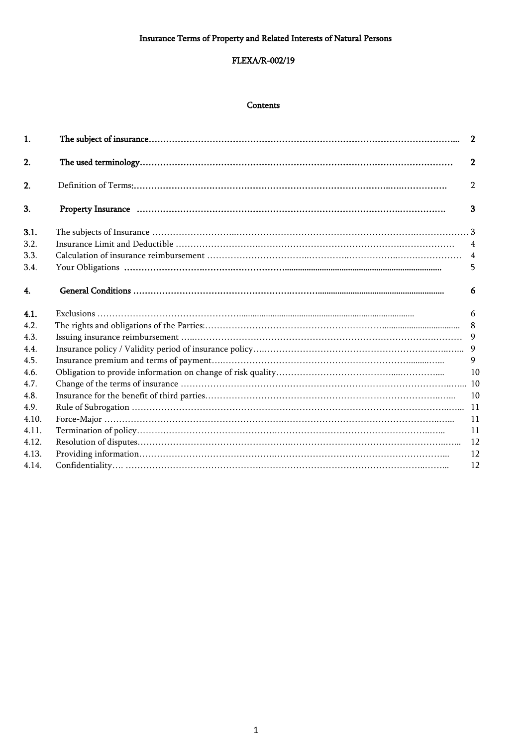# FLEXA/R-002/19

### **Contents**

| 1.    |                                                                                                                                                                                                                                |                |
|-------|--------------------------------------------------------------------------------------------------------------------------------------------------------------------------------------------------------------------------------|----------------|
| 2.    |                                                                                                                                                                                                                                | $\overline{2}$ |
| 2.    |                                                                                                                                                                                                                                | $\mathcal{P}$  |
| 3.    | Property Insurance material contains and contain and contain and contain and contain and contain and contain and contain and contain and contain and contain and contain and contain and contain and contain and contain and c | 3              |
| 3.1.  |                                                                                                                                                                                                                                |                |
| 3.2.  |                                                                                                                                                                                                                                | $\overline{4}$ |
| 3.3.  |                                                                                                                                                                                                                                | $\overline{4}$ |
| 3.4.  |                                                                                                                                                                                                                                | 5              |
| 4.    |                                                                                                                                                                                                                                | 6              |
| 4.1.  |                                                                                                                                                                                                                                | 6              |
| 4.2.  |                                                                                                                                                                                                                                | 8              |
| 4.3.  |                                                                                                                                                                                                                                |                |
| 4.4.  |                                                                                                                                                                                                                                |                |
| 4.5.  |                                                                                                                                                                                                                                | 9              |
| 4.6.  |                                                                                                                                                                                                                                | 10             |
| 4.7.  |                                                                                                                                                                                                                                |                |
| 4.8.  |                                                                                                                                                                                                                                | 10             |
| 4.9.  |                                                                                                                                                                                                                                |                |
| 4.10. |                                                                                                                                                                                                                                | 11             |
| 4.11. |                                                                                                                                                                                                                                | 11             |
| 4.12. |                                                                                                                                                                                                                                | 12             |
| 4.13. |                                                                                                                                                                                                                                | 12             |
| 4.14. |                                                                                                                                                                                                                                | 12             |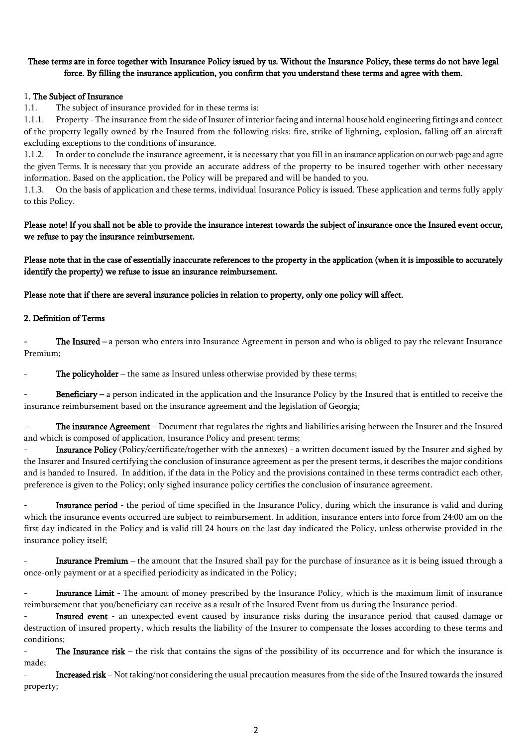# These terms are in force together with Insurance Policy issued by us. Without the Insurance Policy, these terms do not have legal force. By filling the insurance application, you confirm that you understand these terms and agree with them.

## 1. The Subject of Insurance

1.1. The subject of insurance provided for in these terms is:

1.1.1. Property - The insurance from the side of Insurer of interior facing and internal household engineering fittings and contect of the property legally owned by the Insured from the following risks: fire, strike of lightning, explosion, falling off an aircraft excluding exceptions to the conditions of insurance.

1.1.2. In order to conclude the insurance agreement, it is necessary that you fill in an insurance application on our web-page and agrre the given Terms. It is necessary that you provide an accurate address of the property to be insured together with other necessary information. Based on the application, the Policy will be prepared and will be handed to you.

1.1.3. On the basis of application and these terms, individual Insurance Policy is issued. These application and terms fully apply to this Policy.

# Please note! If you shall not be able to provide the insurance interest towards the subject of insurance once the Insured event occur, we refuse to pay the insurance reimbursement.

Please note that in the case of essentially inaccurate references to the property in the application (when it is impossible to accurately identify the property) we refuse to issue an insurance reimbursement.

Please note that if there are several insurance policies in relation to property, only one policy will affect.

### 2. Definition of Terms

The Insured – a person who enters into Insurance Agreement in person and who is obliged to pay the relevant Insurance Premium;

The policyholder – the same as Insured unless otherwise provided by these terms;

Beneficiary – a person indicated in the application and the Insurance Policy by the Insured that is entitled to receive the insurance reimbursement based on the insurance agreement and the legislation of Georgia;

The insurance Agreement – Document that regulates the rights and liabilities arising between the Insurer and the Insured and which is composed of application, Insurance Policy and present terms;

Insurance Policy (Policy/certificate/together with the annexes) - a written document issued by the Insurer and sighed by the Insurer and Insured certifying the conclusion of insurance agreement as per the present terms, it describes the major conditions and is handed to Insured. In addition, if the data in the Policy and the provisions contained in these terms contradict each other, preference is given to the Policy; only sighed insurance policy certifies the conclusion of insurance agreement.

Insurance period - the period of time specified in the Insurance Policy, during which the insurance is valid and during which the insurance events occurred are subject to reimbursement. In addition, insurance enters into force from 24:00 am on the first day indicated in the Policy and is valid till 24 hours on the last day indicated the Policy, unless otherwise provided in the insurance policy itself;

Insurance Premium – the amount that the Insured shall pay for the purchase of insurance as it is being issued through a once-only payment or at a specified periodicity as indicated in the Policy;

Insurance Limit - The amount of money prescribed by the Insurance Policy, which is the maximum limit of insurance reimbursement that you/beneficiary can receive as a result of the Insured Event from us during the Insurance period.

Insured event - an unexpected event caused by insurance risks during the insurance period that caused damage or destruction of insured property, which results the liability of the Insurer to compensate the losses according to these terms and conditions;

The Insurance risk – the risk that contains the signs of the possibility of its occurrence and for which the insurance is made;

Increased risk – Not taking/not considering the usual precaution measures from the side of the Insured towards the insured property;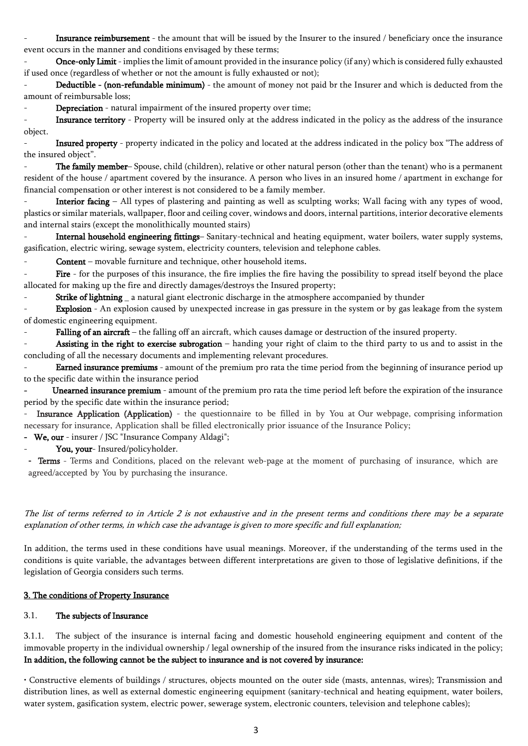Insurance reimbursement - the amount that will be issued by the Insurer to the insured / beneficiary once the insurance event occurs in the manner and conditions envisaged by these terms;

Once-only Limit - implies the limit of amount provided in the insurance policy (if any) which is considered fully exhausted if used once (regardless of whether or not the amount is fully exhausted or not);

- Deductible - (non-refundable minimum) - the amount of money not paid br the Insurer and which is deducted from the amount of reimbursable loss;

Depreciation - natural impairment of the insured property over time;

Insurance territory - Property will be insured only at the address indicated in the policy as the address of the insurance object.

Insured property - property indicated in the policy and located at the address indicated in the policy box "The address of the insured object".

The family member– Spouse, child (children), relative or other natural person (other than the tenant) who is a permanent resident of the house / apartment covered by the insurance. A person who lives in an insured home / apartment in exchange for financial compensation or other interest is not considered to be a family member.

Interior facing – All types of plastering and painting as well as sculpting works; Wall facing with any types of wood, plastics or similar materials, wallpaper, floor and ceiling cover, windows and doors, internal partitions, interior decorative elements and internal stairs (except the monolithically mounted stairs)

Internal household engineering fittings-Sanitary-technical and heating equipment, water boilers, water supply systems, gasification, electric wiring, sewage system, electricity counters, television and telephone cables.

Content – movable furniture and technique, other household items.

Fire - for the purposes of this insurance, the fire implies the fire having the possibility to spread itself beyond the place allocated for making up the fire and directly damages/destroys the Insured property;

Strike of lightning \_ a natural giant electronic discharge in the atmosphere accompanied by thunder

Explosion - An explosion caused by unexpected increase in gas pressure in the system or by gas leakage from the system of domestic engineering equipment.

Falling of an aircraft – the falling off an aircraft, which causes damage or destruction of the insured property.

Assisting in the right to exercise subrogation - handing your right of claim to the third party to us and to assist in the concluding of all the necessary documents and implementing relevant procedures.

**Earned insurance premiums** - amount of the premium pro rata the time period from the beginning of insurance period up to the specific date within the insurance period

Unearned insurance premium - amount of the premium pro rata the time period left before the expiration of the insurance period by the specific date within the insurance period;

Insurance Application (Application) - the questionnaire to be filled in by You at Our webpage, comprising information necessary for insurance, Application shall be filled electronically prior issuance of the Insurance Policy;

- We, our - insurer / JSC "Insurance Company Aldagi";

You, your- Insured/policyholder.

**-** Terms - Terms and Conditions, placed on the relevant web-page at the moment of purchasing of insurance, which are agreed/accepted by You by purchasing the insurance.

The list of terms referred to in Article 2 is not exhaustive and in the present terms and conditions there may be a separate explanation of other terms, in which case the advantage is given to more specific and full explanation;

In addition, the terms used in these conditions have usual meanings. Moreover, if the understanding of the terms used in the conditions is quite variable, the advantages between different interpretations are given to those of legislative definitions, if the legislation of Georgia considers such terms.

## 3. The conditions of Property Insurance

### 3.1. The subjects of Insurance

3.1.1. The subject of the insurance is internal facing and domestic household engineering equipment and content of the immovable property in the individual ownership / legal ownership of the insured from the insurance risks indicated in the policy; In addition, the following cannot be the subject to insurance and is not covered by insurance:

• Constructive elements of buildings / structures, objects mounted on the outer side (masts, antennas, wires); Transmission and distribution lines, as well as external domestic engineering equipment (sanitary-technical and heating equipment, water boilers, water system, gasification system, electric power, sewerage system, electronic counters, television and telephone cables);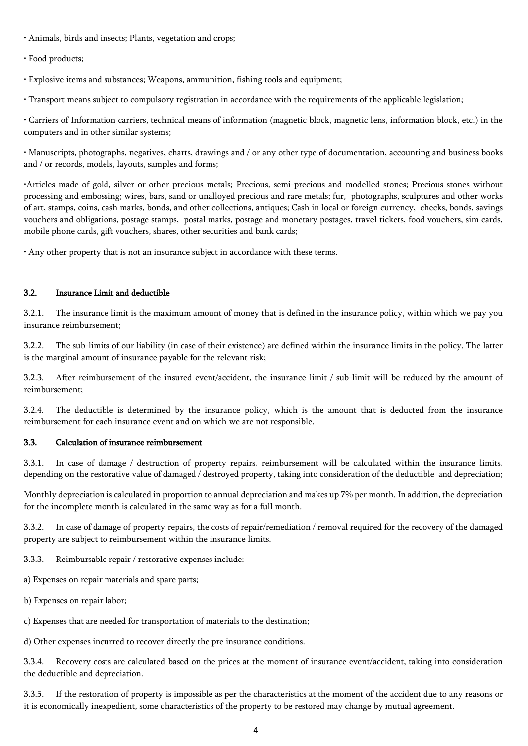- Animals, birds and insects; Plants, vegetation and crops;
- Food products;
- Explosive items and substances; Weapons, ammunition, fishing tools and equipment;

• Transport means subject to compulsory registration in accordance with the requirements of the applicable legislation;

• Carriers of Information carriers, technical means of information (magnetic block, magnetic lens, information block, etc.) in the computers and in other similar systems;

• Manuscripts, photographs, negatives, charts, drawings and / or any other type of documentation, accounting and business books and / or records, models, layouts, samples and forms;

•Articles made of gold, silver or other precious metals; Precious, semi-precious and modelled stones; Precious stones without processing and embossing; wires, bars, sand or unalloyed precious and rare metals; fur, photographs, sculptures and other works of art, stamps, coins, cash marks, bonds, and other collections, antiques; Cash in local or foreign currency, checks, bonds, savings vouchers and obligations, postage stamps, postal marks, postage and monetary postages, travel tickets, food vouchers, sim cards, mobile phone cards, gift vouchers, shares, other securities and bank cards;

• Any other property that is not an insurance subject in accordance with these terms.

# 3.2. Insurance Limit and deductible

3.2.1. The insurance limit is the maximum amount of money that is defined in the insurance policy, within which we pay you insurance reimbursement;

3.2.2. The sub-limits of our liability (in case of their existence) are defined within the insurance limits in the policy. The latter is the marginal amount of insurance payable for the relevant risk;

3.2.3. After reimbursement of the insured event/accident, the insurance limit / sub-limit will be reduced by the amount of reimbursement;

3.2.4. The deductible is determined by the insurance policy, which is the amount that is deducted from the insurance reimbursement for each insurance event and on which we are not responsible.

# 3.3. Calculation of insurance reimbursement

3.3.1. In case of damage / destruction of property repairs, reimbursement will be calculated within the insurance limits, depending on the restorative value of damaged / destroyed property, taking into consideration of the deductible and depreciation;

Monthly depreciation is calculated in proportion to annual depreciation and makes up 7% per month. In addition, the depreciation for the incomplete month is calculated in the same way as for a full month.

3.3.2. In case of damage of property repairs, the costs of repair/remediation / removal required for the recovery of the damaged property are subject to reimbursement within the insurance limits.

3.3.3. Reimbursable repair / restorative expenses include:

a) Expenses on repair materials and spare parts;

b) Expenses on repair labor;

c) Expenses that are needed for transportation of materials to the destination;

d) Other expenses incurred to recover directly the pre insurance conditions.

3.3.4. Recovery costs are calculated based on the prices at the moment of insurance event/accident, taking into consideration the deductible and depreciation.

3.3.5. If the restoration of property is impossible as per the characteristics at the moment of the accident due to any reasons or it is economically inexpedient, some characteristics of the property to be restored may change by mutual agreement.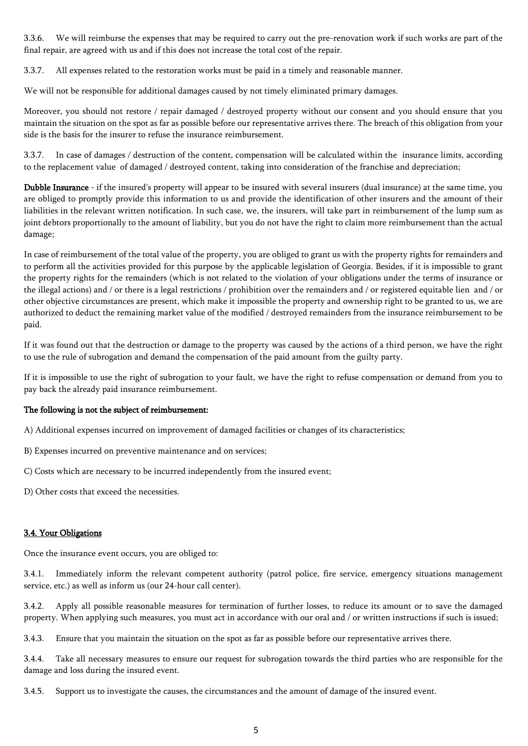3.3.6. We will reimburse the expenses that may be required to carry out the pre-renovation work if such works are part of the final repair, are agreed with us and if this does not increase the total cost of the repair.

3.3.7. All expenses related to the restoration works must be paid in a timely and reasonable manner.

We will not be responsible for additional damages caused by not timely eliminated primary damages.

Moreover, you should not restore / repair damaged / destroyed property without our consent and you should ensure that you maintain the situation on the spot as far as possible before our representative arrives there. The breach of this obligation from your side is the basis for the insurer to refuse the insurance reimbursement.

3.3.7. In case of damages / destruction of the content, compensation will be calculated within the insurance limits, according to the replacement value of damaged / destroyed content, taking into consideration of the franchise and depreciation;

Dubble Insurance - if the insured's property will appear to be insured with several insurers (dual insurance) at the same time, you are obliged to promptly provide this information to us and provide the identification of other insurers and the amount of their liabilities in the relevant written notification. In such case, we, the insurers, will take part in reimbursement of the lump sum as joint debtors proportionally to the amount of liability, but you do not have the right to claim more reimbursement than the actual damage;

In case of reimbursement of the total value of the property, you are obliged to grant us with the property rights for remainders and to perform all the activities provided for this purpose by the applicable legislation of Georgia. Besides, if it is impossible to grant the property rights for the remainders (which is not related to the violation of your obligations under the terms of insurance or the illegal actions) and / or there is a legal restrictions / prohibition over the remainders and / or registered equitable lien and / or other objective circumstances are present, which make it impossible the property and ownership right to be granted to us, we are authorized to deduct the remaining market value of the modified / destroyed remainders from the insurance reimbursement to be paid.

If it was found out that the destruction or damage to the property was caused by the actions of a third person, we have the right to use the rule of subrogation and demand the compensation of the paid amount from the guilty party.

If it is impossible to use the right of subrogation to your fault, we have the right to refuse compensation or demand from you to pay back the already paid insurance reimbursement.

#### The following is not the subject of reimbursement:

A) Additional expenses incurred on improvement of damaged facilities or changes of its characteristics;

- B) Expenses incurred on preventive maintenance and on services;
- C) Costs which are necessary to be incurred independently from the insured event;
- D) Other costs that exceed the necessities.

# 3.4. Your Obligations

Once the insurance event occurs, you are obliged to:

3.4.1. Immediately inform the relevant competent authority (patrol police, fire service, emergency situations management service, etc.) as well as inform us (our 24-hour call center).

3.4.2. Apply all possible reasonable measures for termination of further losses, to reduce its amount or to save the damaged property. When applying such measures, you must act in accordance with our oral and / or written instructions if such is issued;

3.4.3. Ensure that you maintain the situation on the spot as far as possible before our representative arrives there.

3.4.4. Take all necessary measures to ensure our request for subrogation towards the third parties who are responsible for the damage and loss during the insured event.

3.4.5. Support us to investigate the causes, the circumstances and the amount of damage of the insured event.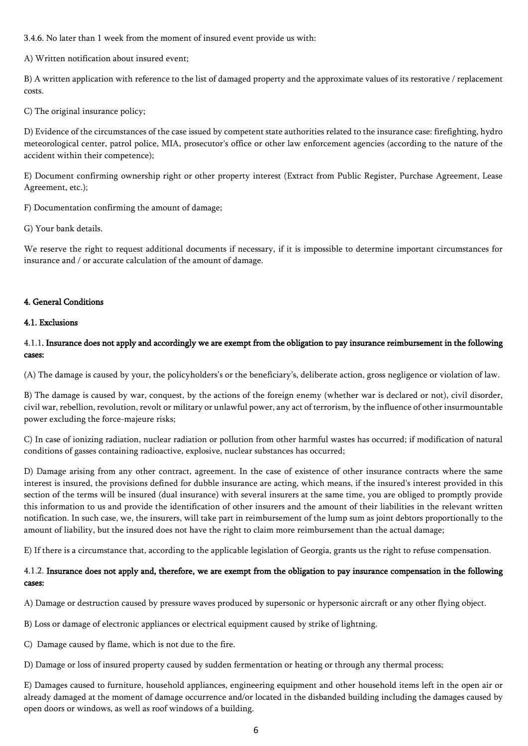3.4.6. No later than 1 week from the moment of insured event provide us with:

A) Written notification about insured event;

B) A written application with reference to the list of damaged property and the approximate values of its restorative / replacement costs.

C) The original insurance policy;

D) Evidence of the circumstances of the case issued by competent state authorities related to the insurance case: firefighting, hydro meteorological center, patrol police, MIA, prosecutor's office or other law enforcement agencies (according to the nature of the accident within their competence);

E) Document confirming ownership right or other property interest (Extract from Public Register, Purchase Agreement, Lease Agreement, etc.);

F) Documentation confirming the amount of damage;

G) Your bank details.

We reserve the right to request additional documents if necessary, if it is impossible to determine important circumstances for insurance and / or accurate calculation of the amount of damage.

# 4. General Conditions

#### 4.1. Exclusions

# 4.1.1. Insurance does not apply and accordingly we are exempt from the obligation to pay insurance reimbursement in the following cases:

(A) The damage is caused by your, the policyholders's or the beneficiary's, deliberate action, gross negligence or violation of law.

B) The damage is caused by war, conquest, by the actions of the foreign enemy (whether war is declared or not), civil disorder, civil war, rebellion, revolution, revolt or military or unlawful power, any act of terrorism, by the influence of other insurmountable power excluding the force-majeure risks;

C) In case of ionizing radiation, nuclear radiation or pollution from other harmful wastes has occurred; if modification of natural conditions of gasses containing radioactive, explosive, nuclear substances has occurred;

D) Damage arising from any other contract, agreement. In the case of existence of other insurance contracts where the same interest is insured, the provisions defined for dubble insurance are acting, which means, if the insured's interest provided in this section of the terms will be insured (dual insurance) with several insurers at the same time, you are obliged to promptly provide this information to us and provide the identification of other insurers and the amount of their liabilities in the relevant written notification. In such case, we, the insurers, will take part in reimbursement of the lump sum as joint debtors proportionally to the amount of liability, but the insured does not have the right to claim more reimbursement than the actual damage;

E) If there is a circumstance that, according to the applicable legislation of Georgia, grants us the right to refuse compensation.

# 4.1.2. Insurance does not apply and, therefore, we are exempt from the obligation to pay insurance compensation in the following cases:

A) Damage or destruction caused by pressure waves produced by supersonic or hypersonic aircraft or any other flying object.

B) Loss or damage of electronic appliances or electrical equipment caused by strike of lightning.

C) Damage caused by flame, which is not due to the fire.

D) Damage or loss of insured property caused by sudden fermentation or heating or through any thermal process;

E) Damages caused to furniture, household appliances, engineering equipment and other household items left in the open air or already damaged at the moment of damage occurrence and/or located in the disbanded building including the damages caused by open doors or windows, as well as roof windows of a building.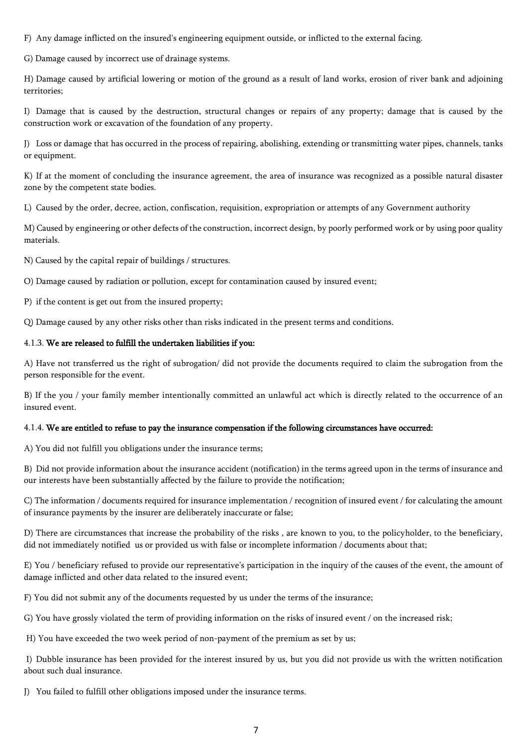F) Any damage inflicted on the insured's engineering equipment outside, or inflicted to the external facing.

G) Damage caused by incorrect use of drainage systems.

H) Damage caused by artificial lowering or motion of the ground as a result of land works, erosion of river bank and adjoining territories;

I) Damage that is caused by the destruction, structural changes or repairs of any property; damage that is caused by the construction work or excavation of the foundation of any property.

J) Loss or damage that has occurred in the process of repairing, abolishing, extending or transmitting water pipes, channels, tanks or equipment.

K) If at the moment of concluding the insurance agreement, the area of insurance was recognized as a possible natural disaster zone by the competent state bodies.

L) Caused by the order, decree, action, confiscation, requisition, expropriation or attempts of any Government authority

M) Caused by engineering or other defects of the construction, incorrect design, by poorly performed work or by using poor quality materials.

N) Caused by the capital repair of buildings / structures.

O) Damage caused by radiation or pollution, except for contamination caused by insured event;

P) if the content is get out from the insured property;

Q) Damage caused by any other risks other than risks indicated in the present terms and conditions.

### 4.1.3. We are released to fulfill the undertaken liabilities if you:

A) Have not transferred us the right of subrogation/ did not provide the documents required to claim the subrogation from the person responsible for the event.

B) If the you / your family member intentionally committed an unlawful act which is directly related to the occurrence of an insured event.

#### 4.1.4. We are entitled to refuse to pay the insurance compensation if the following circumstances have occurred:

A) You did not fulfill you obligations under the insurance terms;

B) Did not provide information about the insurance accident (notification) in the terms agreed upon in the terms of insurance and our interests have been substantially affected by the failure to provide the notification;

C) The information / documents required for insurance implementation / recognition of insured event / for calculating the amount of insurance payments by the insurer are deliberately inaccurate or false;

D) There are circumstances that increase the probability of the risks , are known to you, to the policyholder, to the beneficiary, did not immediately notified us or provided us with false or incomplete information / documents about that;

E) You / beneficiary refused to provide our representative's participation in the inquiry of the causes of the event, the amount of damage inflicted and other data related to the insured event;

F) You did not submit any of the documents requested by us under the terms of the insurance;

G) You have grossly violated the term of providing information on the risks of insured event / on the increased risk;

H) You have exceeded the two week period of non-payment of the premium as set by us;

I) Dubble insurance has been provided for the interest insured by us, but you did not provide us with the written notification about such dual insurance.

J) You failed to fulfill other obligations imposed under the insurance terms.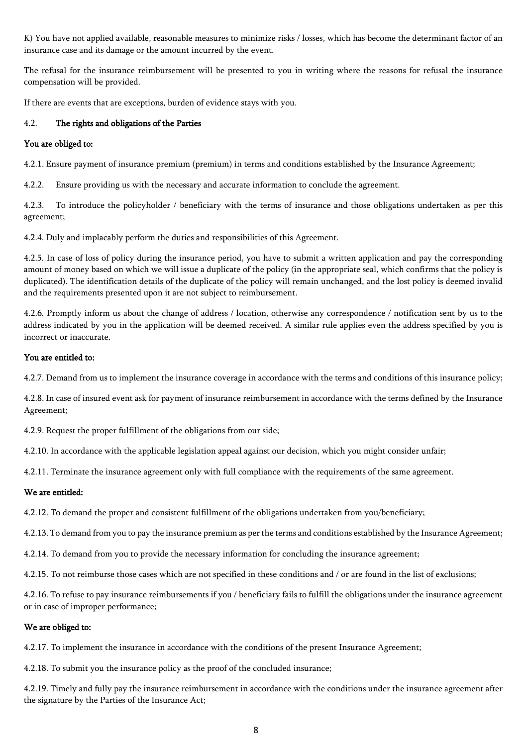K) You have not applied available, reasonable measures to minimize risks / losses, which has become the determinant factor of an insurance case and its damage or the amount incurred by the event.

The refusal for the insurance reimbursement will be presented to you in writing where the reasons for refusal the insurance compensation will be provided.

If there are events that are exceptions, burden of evidence stays with you.

# 4.2. The rights and obligations of the Parties

## You are obliged to:

4.2.1. Ensure payment of insurance premium (premium) in terms and conditions established by the Insurance Agreement;

4.2.2. Ensure providing us with the necessary and accurate information to conclude the agreement.

4.2.3. To introduce the policyholder / beneficiary with the terms of insurance and those obligations undertaken as per this agreement;

4.2.4. Duly and implacably perform the duties and responsibilities of this Agreement.

4.2.5. In case of loss of policy during the insurance period, you have to submit a written application and pay the corresponding amount of money based on which we will issue a duplicate of the policy (in the appropriate seal, which confirms that the policy is duplicated). The identification details of the duplicate of the policy will remain unchanged, and the lost policy is deemed invalid and the requirements presented upon it are not subject to reimbursement.

4.2.6. Promptly inform us about the change of address / location, otherwise any correspondence / notification sent by us to the address indicated by you in the application will be deemed received. A similar rule applies even the address specified by you is incorrect or inaccurate.

### You are entitled to:

4.2.7. Demand from us to implement the insurance coverage in accordance with the terms and conditions of this insurance policy;

4.2.8. In case of insured event ask for payment of insurance reimbursement in accordance with the terms defined by the Insurance Agreement;

4.2.9. Request the proper fulfillment of the obligations from our side;

4.2.10. In accordance with the applicable legislation appeal against our decision, which you might consider unfair;

4.2.11. Terminate the insurance agreement only with full compliance with the requirements of the same agreement.

# We are entitled:

4.2.12. To demand the proper and consistent fulfillment of the obligations undertaken from you/beneficiary;

4.2.13. To demand from you to pay the insurance premium as per the terms and conditions established by the Insurance Agreement;

4.2.14. To demand from you to provide the necessary information for concluding the insurance agreement;

4.2.15. To not reimburse those cases which are not specified in these conditions and / or are found in the list of exclusions;

4.2.16. To refuse to pay insurance reimbursements if you / beneficiary fails to fulfill the obligations under the insurance agreement or in case of improper performance;

# We are obliged to:

4.2.17. To implement the insurance in accordance with the conditions of the present Insurance Agreement;

4.2.18. To submit you the insurance policy as the proof of the concluded insurance;

4.2.19. Timely and fully pay the insurance reimbursement in accordance with the conditions under the insurance agreement after the signature by the Parties of the Insurance Act;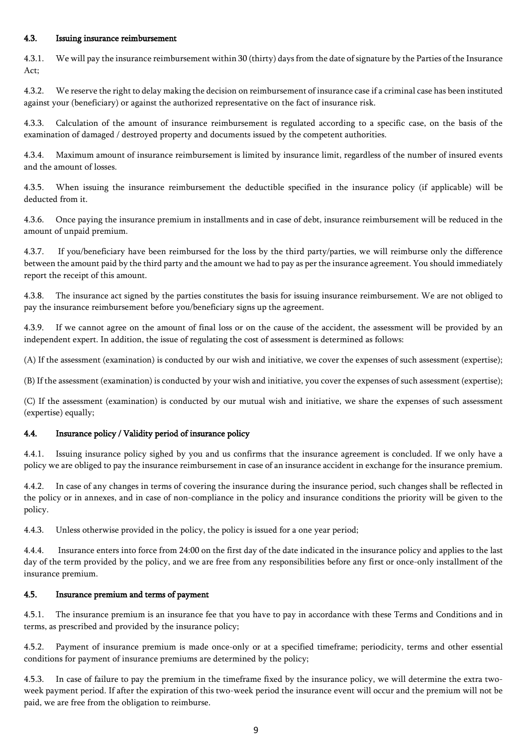### 4.3. Issuing insurance reimbursement

4.3.1. We will pay the insurance reimbursement within 30 (thirty) days from the date of signature by the Parties of the Insurance Act;

4.3.2. We reserve the right to delay making the decision on reimbursement of insurance case if a criminal case has been instituted against your (beneficiary) or against the authorized representative on the fact of insurance risk.

4.3.3. Calculation of the amount of insurance reimbursement is regulated according to a specific case, on the basis of the examination of damaged / destroyed property and documents issued by the competent authorities.

4.3.4. Maximum amount of insurance reimbursement is limited by insurance limit, regardless of the number of insured events and the amount of losses.

4.3.5. When issuing the insurance reimbursement the deductible specified in the insurance policy (if applicable) will be deducted from it.

4.3.6. Once paying the insurance premium in installments and in case of debt, insurance reimbursement will be reduced in the amount of unpaid premium.

4.3.7. If you/beneficiary have been reimbursed for the loss by the third party/parties, we will reimburse only the difference between the amount paid by the third party and the amount we had to pay as per the insurance agreement. You should immediately report the receipt of this amount.

4.3.8. The insurance act signed by the parties constitutes the basis for issuing insurance reimbursement. We are not obliged to pay the insurance reimbursement before you/beneficiary signs up the agreement.

If we cannot agree on the amount of final loss or on the cause of the accident, the assessment will be provided by an independent expert. In addition, the issue of regulating the cost of assessment is determined as follows:

(A) If the assessment (examination) is conducted by our wish and initiative, we cover the expenses of such assessment (expertise);

(B) If the assessment (examination) is conducted by your wish and initiative, you cover the expenses of such assessment (expertise);

(C) If the assessment (examination) is conducted by our mutual wish and initiative, we share the expenses of such assessment (expertise) equally;

# 4.4. Insurance policy / Validity period of insurance policy

4.4.1. Issuing insurance policy sighed by you and us confirms that the insurance agreement is concluded. If we only have a policy we are obliged to pay the insurance reimbursement in case of an insurance accident in exchange for the insurance premium.

4.4.2. In case of any changes in terms of covering the insurance during the insurance period, such changes shall be reflected in the policy or in annexes, and in case of non-compliance in the policy and insurance conditions the priority will be given to the policy.

4.4.3. Unless otherwise provided in the policy, the policy is issued for a one year period;

4.4.4. Insurance enters into force from 24:00 on the first day of the date indicated in the insurance policy and applies to the last day of the term provided by the policy, and we are free from any responsibilities before any first or once-only installment of the insurance premium.

#### 4.5. Insurance premium and terms of payment

4.5.1. The insurance premium is an insurance fee that you have to pay in accordance with these Terms and Conditions and in terms, as prescribed and provided by the insurance policy;

4.5.2. Payment of insurance premium is made once-only or at a specified timeframe; periodicity, terms and other essential conditions for payment of insurance premiums are determined by the policy;

4.5.3. In case of failure to pay the premium in the timeframe fixed by the insurance policy, we will determine the extra twoweek payment period. If after the expiration of this two-week period the insurance event will occur and the premium will not be paid, we are free from the obligation to reimburse.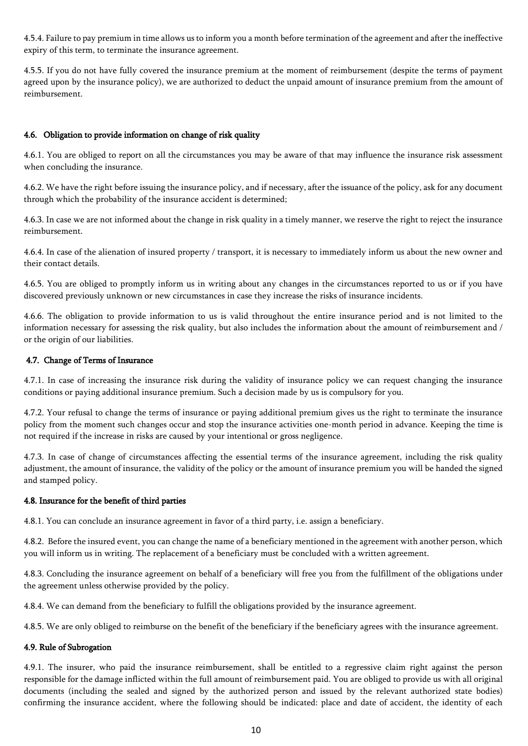4.5.4. Failure to pay premium in time allows us to inform you a month before termination of the agreement and after the ineffective expiry of this term, to terminate the insurance agreement.

4.5.5. If you do not have fully covered the insurance premium at the moment of reimbursement (despite the terms of payment agreed upon by the insurance policy), we are authorized to deduct the unpaid amount of insurance premium from the amount of reimbursement.

# 4.6. Obligation to provide information on change of risk quality

4.6.1. You are obliged to report on all the circumstances you may be aware of that may influence the insurance risk assessment when concluding the insurance.

4.6.2. We have the right before issuing the insurance policy, and if necessary, after the issuance of the policy, ask for any document through which the probability of the insurance accident is determined;

4.6.3. In case we are not informed about the change in risk quality in a timely manner, we reserve the right to reject the insurance reimbursement.

4.6.4. In case of the alienation of insured property / transport, it is necessary to immediately inform us about the new owner and their contact details.

4.6.5. You are obliged to promptly inform us in writing about any changes in the circumstances reported to us or if you have discovered previously unknown or new circumstances in case they increase the risks of insurance incidents.

4.6.6. The obligation to provide information to us is valid throughout the entire insurance period and is not limited to the information necessary for assessing the risk quality, but also includes the information about the amount of reimbursement and / or the origin of our liabilities.

# 4.7. Change of Terms of Insurance

4.7.1. In case of increasing the insurance risk during the validity of insurance policy we can request changing the insurance conditions or paying additional insurance premium. Such a decision made by us is compulsory for you.

4.7.2. Your refusal to change the terms of insurance or paying additional premium gives us the right to terminate the insurance policy from the moment such changes occur and stop the insurance activities one-month period in advance. Keeping the time is not required if the increase in risks are caused by your intentional or gross negligence.

4.7.3. In case of change of circumstances affecting the essential terms of the insurance agreement, including the risk quality adjustment, the amount of insurance, the validity of the policy or the amount of insurance premium you will be handed the signed and stamped policy.

# 4.8. Insurance for the benefit of third parties

4.8.1. You can conclude an insurance agreement in favor of a third party, i.e. assign a beneficiary.

4.8.2. Before the insured event, you can change the name of a beneficiary mentioned in the agreement with another person, which you will inform us in writing. The replacement of a beneficiary must be concluded with a written agreement.

4.8.3. Concluding the insurance agreement on behalf of a beneficiary will free you from the fulfillment of the obligations under the agreement unless otherwise provided by the policy.

4.8.4. We can demand from the beneficiary to fulfill the obligations provided by the insurance agreement.

4.8.5. We are only obliged to reimburse on the benefit of the beneficiary if the beneficiary agrees with the insurance agreement.

# 4.9. Rule of Subrogation

4.9.1. The insurer, who paid the insurance reimbursement, shall be entitled to a regressive claim right against the person responsible for the damage inflicted within the full amount of reimbursement paid. You are obliged to provide us with all original documents (including the sealed and signed by the authorized person and issued by the relevant authorized state bodies) confirming the insurance accident, where the following should be indicated: place and date of accident, the identity of each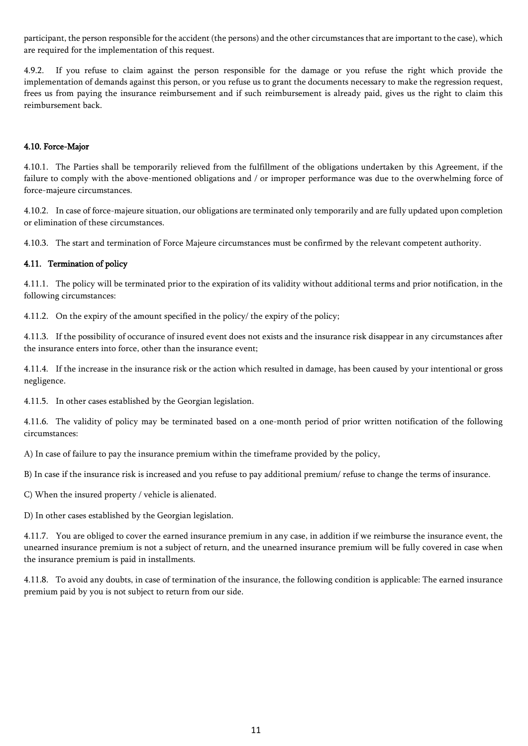participant, the person responsible for the accident (the persons) and the other circumstances that are important to the case), which are required for the implementation of this request.

4.9.2. If you refuse to claim against the person responsible for the damage or you refuse the right which provide the implementation of demands against this person, or you refuse us to grant the documents necessary to make the regression request, frees us from paying the insurance reimbursement and if such reimbursement is already paid, gives us the right to claim this reimbursement back.

# 4.10. Force-Major

4.10.1. The Parties shall be temporarily relieved from the fulfillment of the obligations undertaken by this Agreement, if the failure to comply with the above-mentioned obligations and / or improper performance was due to the overwhelming force of force-majeure circumstances.

4.10.2. In case of force-majeure situation, our obligations are terminated only temporarily and are fully updated upon completion or elimination of these circumstances.

4.10.3. The start and termination of Force Majeure circumstances must be confirmed by the relevant competent authority.

# 4.11. Termination of policy

4.11.1. The policy will be terminated prior to the expiration of its validity without additional terms and prior notification, in the following circumstances:

4.11.2. On the expiry of the amount specified in the policy/ the expiry of the policy;

4.11.3. If the possibility of occurance of insured event does not exists and the insurance risk disappear in any circumstances after the insurance enters into force, other than the insurance event;

4.11.4. If the increase in the insurance risk or the action which resulted in damage, has been caused by your intentional or gross negligence.

4.11.5. In other cases established by the Georgian legislation.

4.11.6. The validity of policy may be terminated based on a one-month period of prior written notification of the following circumstances:

A) In case of failure to pay the insurance premium within the timeframe provided by the policy,

B) In case if the insurance risk is increased and you refuse to pay additional premium/ refuse to change the terms of insurance.

C) When the insured property / vehicle is alienated.

D) In other cases established by the Georgian legislation.

4.11.7. You are obliged to cover the earned insurance premium in any case, in addition if we reimburse the insurance event, the unearned insurance premium is not a subject of return, and the unearned insurance premium will be fully covered in case when the insurance premium is paid in installments.

4.11.8. To avoid any doubts, in case of termination of the insurance, the following condition is applicable: The earned insurance premium paid by you is not subject to return from our side.